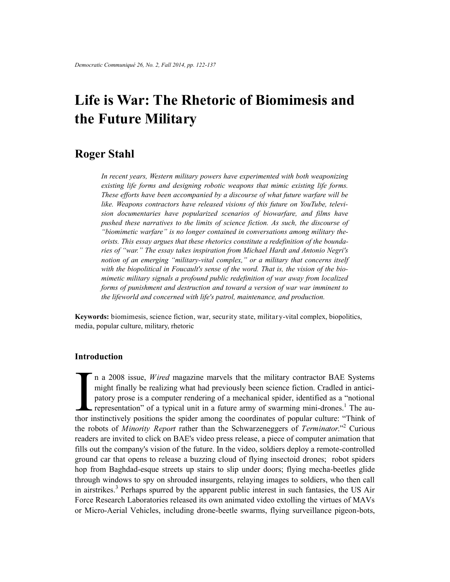# **Life is War: The Rhetoric of Biomimesis and the Future Military**

# **Roger Stahl**

*In recent years, Western military powers have experimented with both weaponizing existing life forms and designing robotic weapons that mimic existing life forms. These efforts have been accompanied by a discourse of what future warfare will be like. Weapons contractors have released visions of this future on YouTube, television documentaries have popularized scenarios of biowarfare, and films have pushed these narratives to the limits of science fiction. As such, the discourse of "biomimetic warfare" is no longer contained in conversations among military theorists. This essay argues that these rhetorics constitute a redefinition of the boundaries of "war." The essay takes inspiration from Michael Hardt and Antonio Negri's notion of an emerging "military-vital complex," or a military that concerns itself with the biopolitical in Foucault's sense of the word. That is, the vision of the biomimetic military signals a profound public redefinition of war away from localized forms of punishment and destruction and toward a version of war war imminent to the lifeworld and concerned with life's patrol, maintenance, and production.*

**Keywords:** biomimesis, science fiction, war, security state, military-vital complex, biopolitics, media, popular culture, military, rhetoric

## **Introduction**

In a 2008 issue, *Wired* magazine marvels that the military contractor BAE Systems might finally be realizing what had previously been science fiction. Cradled in anticipatory prose is a computer rendering of a mechanical n a 2008 issue, *Wired* magazine marvels that the military contractor BAE Systems might finally be realizing what had previously been science fiction. Cradled in anticipatory prose is a computer rendering of a mechanical spider, identified as a "notional representation" of a typical unit in a future army of swarming mini-drones.<sup>1</sup> The authe robots of *Minority Report* rather than the Schwarzeneggers of *Terminator*."<sup>2</sup> Curious readers are invited to click on BAE's video press release, a piece of computer animation that fills out the company's vision of the future. In the video, soldiers deploy a remote-controlled ground car that opens to release a buzzing cloud of flying insectoid drones; robot spiders hop from Baghdad-esque streets up stairs to slip under doors; flying mecha-beetles glide through windows to spy on shrouded insurgents, relaying images to soldiers, who then call in airstrikes.<sup>3</sup> Perhaps spurred by the apparent public interest in such fantasies, the US Air Force Research Laboratories released its own animated video extolling the virtues of MAVs or Micro-Aerial Vehicles, including drone-beetle swarms, flying surveillance pigeon-bots,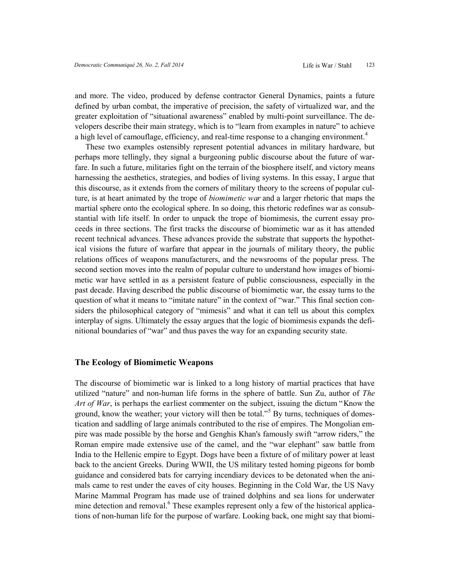and more. The video, produced by defense contractor General Dynamics, paints a future defined by urban combat, the imperative of precision, the safety of virtualized war, and the greater exploitation of "situational awareness" enabled by multi-point surveillance. The developers describe their main strategy, which is to "learn from examples in nature" to achieve a high level of camouflage, efficiency, and real-time response to a changing environment.<sup>4</sup>

These two examples ostensibly represent potential advances in military hardware, but perhaps more tellingly, they signal a burgeoning public discourse about the future of warfare. In such a future, militaries fight on the terrain of the biosphere itself, and victory means harnessing the aesthetics, strategies, and bodies of living systems. In this essay, I argue that this discourse, as it extends from the corners of military theory to the screens of popular culture, is at heart animated by the trope of *biomimetic war* and a larger rhetoric that maps the martial sphere onto the ecological sphere. In so doing, this rhetoric redefines war as consubstantial with life itself. In order to unpack the trope of biomimesis, the current essay proceeds in three sections. The first tracks the discourse of biomimetic war as it has attended recent technical advances. These advances provide the substrate that supports the hypothetical visions the future of warfare that appear in the journals of military theory, the public relations offices of weapons manufacturers, and the newsrooms of the popular press. The second section moves into the realm of popular culture to understand how images of biomimetic war have settled in as a persistent feature of public consciousness, especially in the past decade. Having described the public discourse of biomimetic war, the essay turns to the question of what it means to "imitate nature" in the context of "war." This final section considers the philosophical category of "mimesis" and what it can tell us about this complex interplay of signs. Ultimately the essay argues that the logic of biomimesis expands the definitional boundaries of "war" and thus paves the way for an expanding security state.

#### **The Ecology of Biomimetic Weapons**

The discourse of biomimetic war is linked to a long history of martial practices that have utilized "nature" and non-human life forms in the sphere of battle. Sun Zu, author of *The Art of War*, is perhaps the earliest commenter on the subject, issuing the dictum "Know the ground, know the weather; your victory will then be total.<sup>"5</sup> By turns, techniques of domestication and saddling of large animals contributed to the rise of empires. The Mongolian empire was made possible by the horse and Genghis Khan's famously swift "arrow riders," the Roman empire made extensive use of the camel, and the "war elephant" saw battle from India to the Hellenic empire to Egypt. Dogs have been a fixture of of military power at least back to the ancient Greeks. During WWII, the US military tested homing pigeons for bomb guidance and considered bats for carrying incendiary devices to be detonated when the animals came to rest under the eaves of city houses. Beginning in the Cold War, the US Navy Marine Mammal Program has made use of trained dolphins and sea lions for underwater mine detection and removal.<sup>6</sup> These examples represent only a few of the historical applications of non-human life for the purpose of warfare. Looking back, one might say that biomi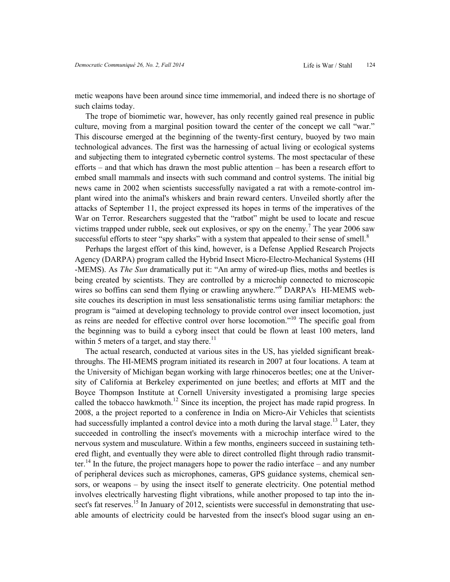metic weapons have been around since time immemorial, and indeed there is no shortage of such claims today.

The trope of biomimetic war, however, has only recently gained real presence in public culture, moving from a marginal position toward the center of the concept we call "war." This discourse emerged at the beginning of the twenty-first century, buoyed by two main technological advances. The first was the harnessing of actual living or ecological systems and subjecting them to integrated cybernetic control systems. The most spectacular of these efforts – and that which has drawn the most public attention – has been a research effort to embed small mammals and insects with such command and control systems. The initial big news came in 2002 when scientists successfully navigated a rat with a remote-control implant wired into the animal's whiskers and brain reward centers. Unveiled shortly after the attacks of September 11, the project expressed its hopes in terms of the imperatives of the War on Terror. Researchers suggested that the "ratbot" might be used to locate and rescue victims trapped under rubble, seek out explosives, or spy on the enemy.<sup>7</sup> The year 2006 saw successful efforts to steer "spy sharks" with a system that appealed to their sense of smell. $8$ 

Perhaps the largest effort of this kind, however, is a Defense Applied Research Projects Agency (DARPA) program called the Hybrid Insect Micro-Electro-Mechanical Systems (HI -MEMS). As *The Sun* dramatically put it: "An army of wired-up flies, moths and beetles is being created by scientists. They are controlled by a microchip connected to microscopic wires so boffins can send them flying or crawling anywhere."<sup>9</sup> DARPA's HI-MEMS website couches its description in must less sensationalistic terms using familiar metaphors: the program is "aimed at developing technology to provide control over insect locomotion, just as reins are needed for effective control over horse locomotion."<sup>10</sup> The specific goal from the beginning was to build a cyborg insect that could be flown at least 100 meters, land within 5 meters of a target, and stay there.<sup>11</sup>

The actual research, conducted at various sites in the US, has yielded significant breakthroughs. The HI-MEMS program initiated its research in 2007 at four locations. A team at the University of Michigan began working with large rhinoceros beetles; one at the University of California at Berkeley experimented on june beetles; and efforts at MIT and the Boyce Thompson Institute at Cornell University investigated a promising large species called the tobacco hawkmoth.<sup>12</sup> Since its inception, the project has made rapid progress. In 2008, a the project reported to a conference in India on Micro-Air Vehicles that scientists had successfully implanted a control device into a moth during the larval stage.<sup>13</sup> Later, they succeeded in controlling the insect's movements with a microchip interface wired to the nervous system and musculature. Within a few months, engineers succeed in sustaining tethered flight, and eventually they were able to direct controlled flight through radio transmitter.<sup>14</sup> In the future, the project managers hope to power the radio interface – and any number of peripheral devices such as microphones, cameras, GPS guidance systems, chemical sensors, or weapons – by using the insect itself to generate electricity. One potential method involves electrically harvesting flight vibrations, while another proposed to tap into the insect's fat reserves.<sup>15</sup> In January of 2012, scientists were successful in demonstrating that useable amounts of electricity could be harvested from the insect's blood sugar using an en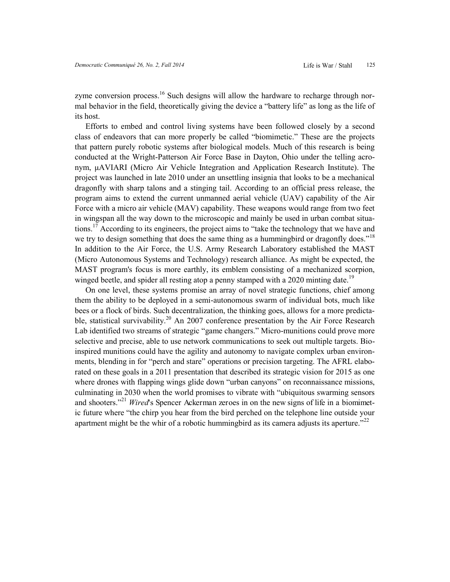zyme conversion process.<sup>16</sup> Such designs will allow the hardware to recharge through normal behavior in the field, theoretically giving the device a "battery life" as long as the life of its host.

Efforts to embed and control living systems have been followed closely by a second class of endeavors that can more properly be called "biomimetic." These are the projects that pattern purely robotic systems after biological models. Much of this research is being conducted at the Wright-Patterson Air Force Base in Dayton, Ohio under the telling acronym, μAVIARI (Micro Air Vehicle Integration and Application Research Institute). The project was launched in late 2010 under an unsettling insignia that looks to be a mechanical dragonfly with sharp talons and a stinging tail. According to an official press release, the program aims to extend the current unmanned aerial vehicle (UAV) capability of the Air Force with a micro air vehicle (MAV) capability. These weapons would range from two feet in wingspan all the way down to the microscopic and mainly be used in urban combat situations.<sup>17</sup> According to its engineers, the project aims to "take the technology that we have and we try to design something that does the same thing as a hummingbird or dragonfly does."<sup>18</sup> In addition to the Air Force, the U.S. Army Research Laboratory established the MAST (Micro Autonomous Systems and Technology) research alliance. As might be expected, the MAST program's focus is more earthly, its emblem consisting of a mechanized scorpion, winged beetle, and spider all resting atop a penny stamped with a 2020 minting date.<sup>19</sup>

On one level, these systems promise an array of novel strategic functions, chief among them the ability to be deployed in a semi-autonomous swarm of individual bots, much like bees or a flock of birds. Such decentralization, the thinking goes, allows for a more predictable, statistical survivability.<sup>20</sup> An 2007 conference presentation by the Air Force Research Lab identified two streams of strategic "game changers." Micro-munitions could prove more selective and precise, able to use network communications to seek out multiple targets. Bioinspired munitions could have the agility and autonomy to navigate complex urban environments, blending in for "perch and stare" operations or precision targeting. The AFRL elaborated on these goals in a 2011 presentation that described its strategic vision for 2015 as one where drones with flapping wings glide down "urban canyons" on reconnaissance missions, culminating in 2030 when the world promises to vibrate with "ubiquitous swarming sensors and shooters."<sup>21</sup> *Wired*'s Spencer Ackerman zeroes in on the new signs of life in a biomimetic future where "the chirp you hear from the bird perched on the telephone line outside your apartment might be the whir of a robotic hummingbird as its camera adjusts its aperture.<sup>22</sup>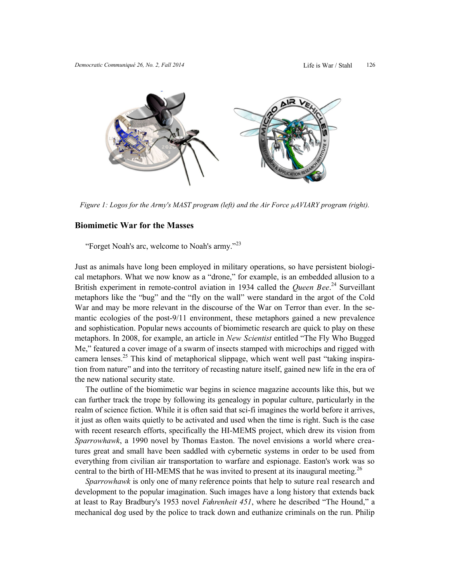

*Figure 1: Logos for the Army's MAST program (left) and the Air Force μAVIARY program (right).* 

### **Biomimetic War for the Masses**

"Forget Noah's arc, welcome to Noah's army."<sup>23</sup>

Just as animals have long been employed in military operations, so have persistent biological metaphors. What we now know as a "drone," for example, is an embedded allusion to a British experiment in remote-control aviation in 1934 called the *Queen Bee*.<sup>24</sup> Surveillant metaphors like the "bug" and the "fly on the wall" were standard in the argot of the Cold War and may be more relevant in the discourse of the War on Terror than ever. In the semantic ecologies of the post-9/11 environment, these metaphors gained a new prevalence and sophistication. Popular news accounts of biomimetic research are quick to play on these metaphors. In 2008, for example, an article in *New Scientist* entitled "The Fly Who Bugged Me," featured a cover image of a swarm of insects stamped with microchips and rigged with camera lenses.<sup>25</sup> This kind of metaphorical slippage, which went well past "taking inspiration from nature" and into the territory of recasting nature itself, gained new life in the era of the new national security state.

The outline of the biomimetic war begins in science magazine accounts like this, but we can further track the trope by following its genealogy in popular culture, particularly in the realm of science fiction. While it is often said that sci-fi imagines the world before it arrives, it just as often waits quietly to be activated and used when the time is right. Such is the case with recent research efforts, specifically the HI-MEMS project, which drew its vision from *Sparrowhawk*, a 1990 novel by Thomas Easton. The novel envisions a world where creatures great and small have been saddled with cybernetic systems in order to be used from everything from civilian air transportation to warfare and espionage. Easton's work was so central to the birth of HI-MEMS that he was invited to present at its inaugural meeting.<sup>26</sup>

*Sparrowhawk* is only one of many reference points that help to suture real research and development to the popular imagination. Such images have a long history that extends back at least to Ray Bradbury's 1953 novel *Fahrenheit 451*, where he described "The Hound," a mechanical dog used by the police to track down and euthanize criminals on the run. Philip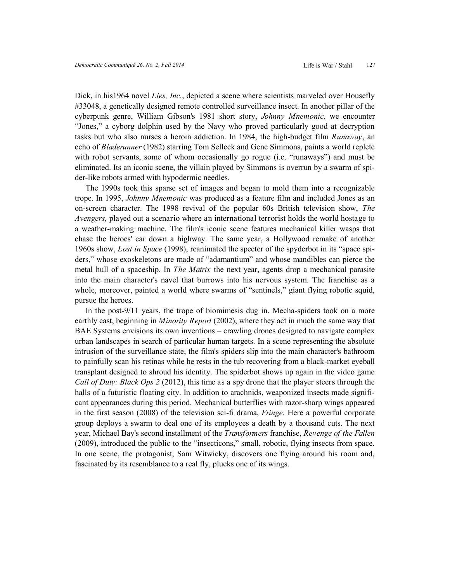Dick, in his1964 novel *Lies, Inc.*, depicted a scene where scientists marveled over Housefly #33048, a genetically designed remote controlled surveillance insect. In another pillar of the cyberpunk genre, William Gibson's 1981 short story, *Johnny Mnemonic,* we encounter "Jones," a cyborg dolphin used by the Navy who proved particularly good at decryption tasks but who also nurses a heroin addiction. In 1984, the high-budget film *Runaway*, an echo of *Bladerunner* (1982) starring Tom Selleck and Gene Simmons, paints a world replete with robot servants, some of whom occasionally go rogue (i.e. "runaways") and must be eliminated. Its an iconic scene, the villain played by Simmons is overrun by a swarm of spider-like robots armed with hypodermic needles.

The 1990s took this sparse set of images and began to mold them into a recognizable trope. In 1995, *Johnny Mnemonic* was produced as a feature film and included Jones as an on-screen character. The 1998 revival of the popular 60s British television show, *The Avengers,* played out a scenario where an international terrorist holds the world hostage to a weather-making machine. The film's iconic scene features mechanical killer wasps that chase the heroes' car down a highway. The same year, a Hollywood remake of another 1960s show, *Lost in Space* (1998), reanimated the specter of the spyderbot in its "space spiders," whose exoskeletons are made of "adamantium" and whose mandibles can pierce the metal hull of a spaceship. In *The Matrix* the next year, agents drop a mechanical parasite into the main character's navel that burrows into his nervous system. The franchise as a whole, moreover, painted a world where swarms of "sentinels," giant flying robotic squid, pursue the heroes.

In the post-9/11 years, the trope of biomimesis dug in. Mecha-spiders took on a more earthly cast, beginning in *Minority Report* (2002), where they act in much the same way that BAE Systems envisions its own inventions – crawling drones designed to navigate complex urban landscapes in search of particular human targets. In a scene representing the absolute intrusion of the surveillance state, the film's spiders slip into the main character's bathroom to painfully scan his retinas while he rests in the tub recovering from a black-market eyeball transplant designed to shroud his identity. The spiderbot shows up again in the video game *Call of Duty: Black Ops 2* (2012), this time as a spy drone that the player steers through the halls of a futuristic floating city. In addition to arachnids, weaponized insects made significant appearances during this period. Mechanical butterflies with razor-sharp wings appeared in the first season (2008) of the television sci-fi drama, *Fringe.* Here a powerful corporate group deploys a swarm to deal one of its employees a death by a thousand cuts. The next year, Michael Bay's second installment of the *Transformers* franchise, *Revenge of the Fallen*  (2009), introduced the public to the "insecticons," small, robotic, flying insects from space. In one scene, the protagonist, Sam Witwicky, discovers one flying around his room and, fascinated by its resemblance to a real fly, plucks one of its wings.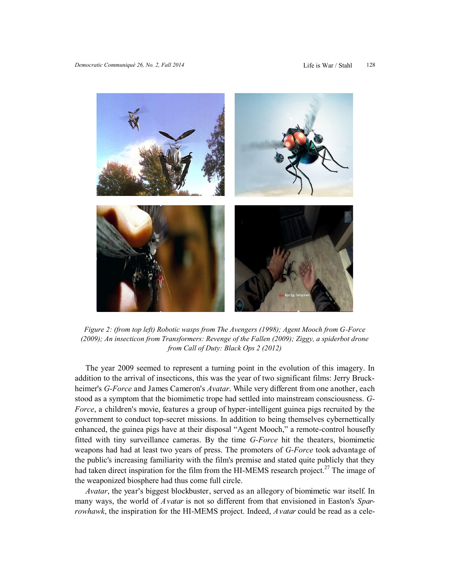

*Figure 2: (from top left) Robotic wasps from The Avengers (1998); Agent Mooch from G-Force (2009); An insecticon from Transformers: Revenge of the Fallen (2009); Ziggy, a spiderbot drone from Call of Duty: Black Ops 2 (2012)* 

The year 2009 seemed to represent a turning point in the evolution of this imagery. In addition to the arrival of insecticons, this was the year of two significant films: Jerry Bruckheimer's *G-Force* and James Cameron's *Avatar*. While very different from one another, each stood as a symptom that the biomimetic trope had settled into mainstream consciousness. *G-Force*, a children's movie, features a group of hyper-intelligent guinea pigs recruited by the government to conduct top-secret missions. In addition to being themselves cybernettically enhanced, the guinea pigs have at their disposal "Agent Mooch," a remote-control housefly fitted with tiny surveillance cameras. By the time *G-Force* hit the theaters, biomimetic weapons had had at least two years of press. The promoters of *G-Force* took advantage of the public's increasing familiarity with the film's premise and stated quite publicly that they had taken direct inspiration for the film from the HI-MEMS research project.<sup>27</sup> The image of the weaponized biosphere had thus come full circle.

*Avatar*, the year's biggest blockbuster, served as an allegory of biomimetic war itself. In many ways, the world of *Avatar* is not so different from that envisioned in Easton's *Sparrowhawk*, the inspiration for the HI-MEMS project. Indeed, *Avatar* could be read as a cele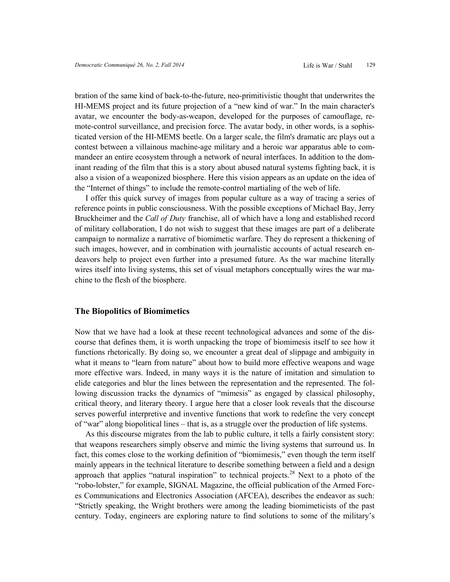bration of the same kind of back-to-the-future, neo-primitivistic thought that underwrites the HI-MEMS project and its future projection of a "new kind of war." In the main character's avatar, we encounter the body-as-weapon, developed for the purposes of camouflage, remote-control surveillance, and precision force. The avatar body, in other words, is a sophisticated version of the HI-MEMS beetle. On a larger scale, the film's dramatic arc plays out a contest between a villainous machine-age military and a heroic war apparatus able to commandeer an entire ecosystem through a network of neural interfaces. In addition to the dominant reading of the film that this is a story about abused natural systems fighting back, it is also a vision of a weaponized biosphere. Here this vision appears as an update on the idea of the "Internet of things" to include the remote-control martialing of the web of life.

I offer this quick survey of images from popular culture as a way of tracing a series of reference points in public consciousness. With the possible exceptions of Michael Bay, Jerry Bruckheimer and the *Call of Duty* franchise, all of which have a long and established record of military collaboration, I do not wish to suggest that these images are part of a deliberate campaign to normalize a narrative of biomimetic warfare. They do represent a thickening of such images, however, and in combination with journalistic accounts of actual research endeavors help to project even further into a presumed future. As the war machine literally wires itself into living systems, this set of visual metaphors conceptually wires the war machine to the flesh of the biosphere.

#### **The Biopolitics of Biomimetics**

Now that we have had a look at these recent technological advances and some of the discourse that defines them, it is worth unpacking the trope of biomimesis itself to see how it functions rhetorically. By doing so, we encounter a great deal of slippage and ambiguity in what it means to "learn from nature" about how to build more effective weapons and wage more effective wars. Indeed, in many ways it is the nature of imitation and simulation to elide categories and blur the lines between the representation and the represented. The following discussion tracks the dynamics of "mimesis" as engaged by classical philosophy, critical theory, and literary theory. I argue here that a closer look reveals that the discourse serves powerful interpretive and inventive functions that work to redefine the very concept of "war" along biopolitical lines – that is, as a struggle over the production of life systems.

As this discourse migrates from the lab to public culture, it tells a fairly consistent story: that weapons researchers simply observe and mimic the living systems that surround us. In fact, this comes close to the working definition of "biomimesis," even though the term itself mainly appears in the technical literature to describe something between a field and a design approach that applies "natural inspiration" to technical projects.<sup>28</sup> Next to a photo of the "robo-lobster," for example, SIGNAL Magazine, the official publication of the Armed Forces Communications and Electronics Association (AFCEA), describes the endeavor as such: "Strictly speaking, the Wright brothers were among the leading biomimeticists of the past century. Today, engineers are exploring nature to find solutions to some of the military's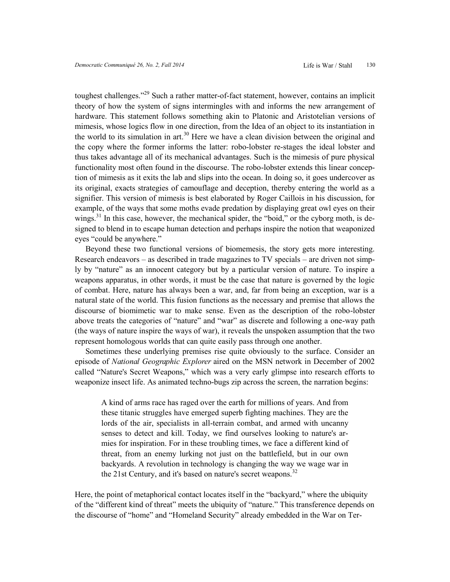toughest challenges."<sup>29</sup> Such a rather matter-of-fact statement, however, contains an implicit theory of how the system of signs intermingles with and informs the new arrangement of hardware. This statement follows something akin to Platonic and Aristotelian versions of mimesis, whose logics flow in one direction, from the Idea of an object to its instantiation in the world to its simulation in art.<sup>30</sup> Here we have a clean division between the original and the copy where the former informs the latter: robo-lobster re-stages the ideal lobster and thus takes advantage all of its mechanical advantages. Such is the mimesis of pure physical functionality most often found in the discourse. The robo-lobster extends this linear conception of mimesis as it exits the lab and slips into the ocean. In doing so, it goes undercover as its original, exacts strategies of camouflage and deception, thereby entering the world as a signifier. This version of mimesis is best elaborated by Roger Caillois in his discussion, for example, of the ways that some moths evade predation by displaying great owl eyes on their wings.<sup>31</sup> In this case, however, the mechanical spider, the "boid," or the cyborg moth, is designed to blend in to escape human detection and perhaps inspire the notion that weaponized eyes "could be anywhere."

Beyond these two functional versions of biomemesis, the story gets more interesting. Research endeavors – as described in trade magazines to TV specials – are driven not simply by "nature" as an innocent category but by a particular version of nature. To inspire a weapons apparatus, in other words, it must be the case that nature is governed by the logic of combat. Here, nature has always been a war, and, far from being an exception, war is a natural state of the world. This fusion functions as the necessary and premise that allows the discourse of biomimetic war to make sense. Even as the description of the robo-lobster above treats the categories of "nature" and "war" as discrete and following a one-way path (the ways of nature inspire the ways of war), it reveals the unspoken assumption that the two represent homologous worlds that can quite easily pass through one another.

Sometimes these underlying premises rise quite obviously to the surface. Consider an episode of *National Geographic Explorer* aired on the MSN network in December of 2002 called "Nature's Secret Weapons," which was a very early glimpse into research efforts to weaponize insect life. As animated techno-bugs zip across the screen, the narration begins:

A kind of arms race has raged over the earth for millions of years. And from these titanic struggles have emerged superb fighting machines. They are the lords of the air, specialists in all-terrain combat, and armed with uncanny senses to detect and kill. Today, we find ourselves looking to nature's armies for inspiration. For in these troubling times, we face a different kind of threat, from an enemy lurking not just on the battlefield, but in our own backyards. A revolution in technology is changing the way we wage war in the 21st Century, and it's based on nature's secret weapons.<sup>32</sup>

Here, the point of metaphorical contact locates itself in the "backyard," where the ubiquity of the "different kind of threat" meets the ubiquity of "nature." This transference depends on the discourse of "home" and "Homeland Security" already embedded in the War on Ter-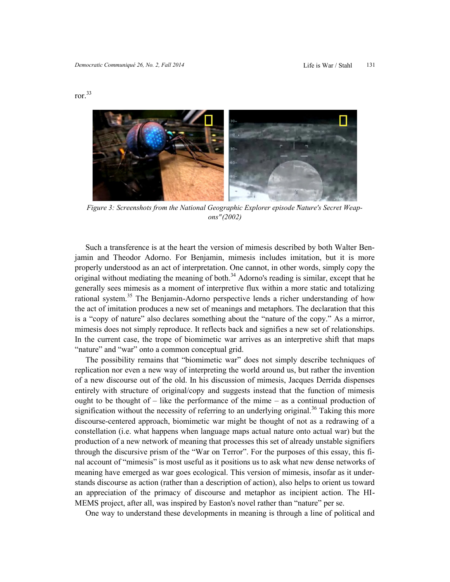

Figure 3: Screenshots from the National Geographic Explorer episode Nature's Secret Weap*ons" (2002)* 

Such a transference is at the heart the version of mimesis described by both Walter Benjamin and Theodor Adorno. For Benjamin, mimesis includes imitation, but it is more properly understood as an act of interpretation. One cannot, in other words, simply copy the original without mediating the meaning of both. $34$  Adorno's reading is similar, except that he generally sees mimesis as a moment of interpretive flux within a more static and totalizing rational system.<sup>35</sup> The Benjamin-Adorno perspective lends a richer understanding of how the act of imitation produces a new set of meanings and metaphors. The declaration that this is a "copy of nature" also declares something about the "nature of the copy." As a mirror, mimesis does not simply reproduce. It reflects back and signifies a new set of relationships. In the current case, the trope of biomimetic war arrives as an interpretive shift that maps "nature" and "war" onto a common conceptual grid.

The possibility remains that "biomimetic war" does not simply describe techniques of replication nor even a new way of interpreting the world around us, but rather the invention of a new discourse out of the old. In his discussion of mimesis, Jacques Derrida dispenses entirely with structure of original/copy and suggests instead that the function of mimesis ought to be thought of  $-$  like the performance of the mime  $-$  as a continual production of signification without the necessity of referring to an underlying original.<sup>36</sup> Taking this more discourse-centered approach, biomimetic war might be thought of not as a redrawing of a constellation (i.e. what happens when language maps actual nature onto actual war) but the production of a new network of meaning that processes this set of already unstable signifiers through the discursive prism of the "War on Terror". For the purposes of this essay, this final account of "mimesis" is most useful as it positions us to ask what new dense networks of meaning have emerged as war goes ecological. This version of mimesis, insofar as it understands discourse as action (rather than a description of action), also helps to orient us toward an appreciation of the primacy of discourse and metaphor as incipient action. The HI-MEMS project, after all, was inspired by Easton's novel rather than "nature" per se.

One way to understand these developments in meaning is through a line of political and

ror.<sup>33</sup>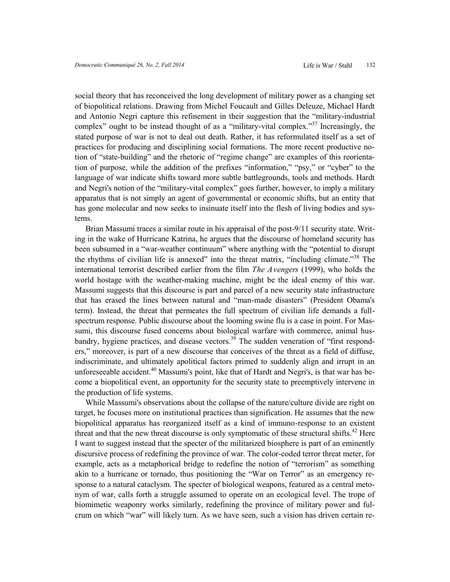social theory that has reconceived the long development of military power as a changing set of biopolitical relations. Drawing from Michel Foucault and Gilles Deleuze, Michael Hardt and Antonio Negri capture this refinement in their suggestion that the "military-industrial complex" ought to be instead thought of as a "military-vital complex."<sup>37</sup> Increasingly, the stated purpose of war is not to deal out death. Rather, it has reformulated itself as a set of practices for producing and disciplining social formations. The more recent productive notion of "state-building" and the rhetoric of "regime change" are examples of this reorientation of purpose, while the addition of the prefixes "information," "psy," or "cyber" to the language of war indicate shifts toward more subtle battlegrounds, tools and methods. Hardt and Negri's notion of the "military-vital complex" goes further, however, to imply a military apparatus that is not simply an agent of governmental or economic shifts, but an entity that has gone molecular and now seeks to insinuate itself into the flesh of living bodies and systems.

Brian Massumi traces a similar route in his appraisal of the post-9/11 security state. Writing in the wake of Hurricane Katrina, he argues that the discourse of homeland security has been subsumed in a "war-weather continuum" where anything with the "potential to disrupt the rhythms of civilian life is annexed" into the threat matrix, "including climate."<sup>38</sup> The international terrorist described earlier from the film *The Avengers* (1999), who holds the world hostage with the weather-making machine, might be the ideal enemy of this war. Massumi suggests that this discourse is part and parcel of a new security state infrastructure that has erased the lines between natural and "man-made disasters" (President Obama's term). Instead, the threat that permeates the full spectrum of civilian life demands a fullspectrum response. Public discourse about the looming swine flu is a case in point. For Massumi, this discourse fused concerns about biological warfare with commerce, animal husbandry, hygiene practices, and disease vectors.<sup>39</sup> The sudden veneration of "first responders," moreover, is part of a new discourse that conceives of the threat as a field of diffuse, indiscriminate, and ultimately apolitical factors primed to suddenly align and irrupt in an unforeseeable accident.<sup>40</sup> Massumi's point, like that of Hardt and Negri's, is that war has become a biopolitical event, an opportunity for the security state to preemptively intervene in the production of life systems.

While Massumi's observations about the collapse of the nature/culture divide are right on target, he focuses more on institutional practices than signification. He assumes that the new biopolitical apparatus has reorganized itself as a kind of immuno-response to an existent threat and that the new threat discourse is only symptomatic of these structural shifts.<sup>42</sup> Here I want to suggest instead that the specter of the militarized biosphere is part of an eminently discursive process of redefining the province of war. The color-coded terror threat meter, for example, acts as a metaphorical bridge to redefine the notion of "terrorism" as something akin to a hurricane or tornado, thus positioning the "War on Terror" as an emergency response to a natural cataclysm. The specter of biological weapons, featured as a central metonym of war, calls forth a struggle assumed to operate on an ecological level. The trope of biomimetic weaponry works similarly, redefining the province of military power and fulcrum on which "war" will likely turn. As we have seen, such a vision has driven certain re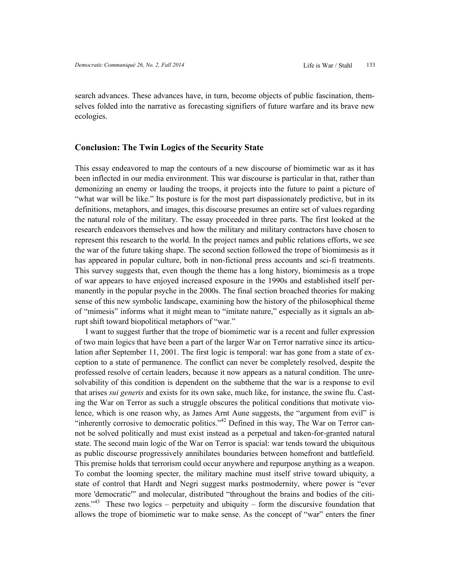search advances. These advances have, in turn, become objects of public fascination, themselves folded into the narrative as forecasting signifiers of future warfare and its brave new ecologies.

#### **Conclusion: The Twin Logics of the Security State**

This essay endeavored to map the contours of a new discourse of biomimetic war as it has been inflected in our media environment. This war discourse is particular in that, rather than demonizing an enemy or lauding the troops, it projects into the future to paint a picture of "what war will be like." Its posture is for the most part dispassionately predictive, but in its definitions, metaphors, and images, this discourse presumes an entire set of values regarding the natural role of the military. The essay proceeded in three parts. The first looked at the research endeavors themselves and how the military and military contractors have chosen to represent this research to the world. In the project names and public relations efforts, we see the war of the future taking shape. The second section followed the trope of biomimesis as it has appeared in popular culture, both in non-fictional press accounts and sci-fi treatments. This survey suggests that, even though the theme has a long history, biomimesis as a trope of war appears to have enjoyed increased exposure in the 1990s and established itself permanently in the popular psyche in the 2000s. The final section broached theories for making sense of this new symbolic landscape, examining how the history of the philosophical theme of "mimesis" informs what it might mean to "imitate nature," especially as it signals an abrupt shift toward biopolitical metaphors of "war."

I want to suggest further that the trope of biomimetic war is a recent and fuller expression of two main logics that have been a part of the larger War on Terror narrative since its articulation after September 11, 2001. The first logic is temporal: war has gone from a state of exception to a state of permanence. The conflict can never be completely resolved, despite the professed resolve of certain leaders, because it now appears as a natural condition. The unresolvability of this condition is dependent on the subtheme that the war is a response to evil that arises *sui generis* and exists for its own sake, much like, for instance, the swine flu. Casting the War on Terror as such a struggle obscures the political conditions that motivate violence, which is one reason why, as James Arnt Aune suggests, the "argument from evil" is "inherently corrosive to democratic politics."<sup>42</sup> Defined in this way, The War on Terror cannot be solved politically and must exist instead as a perpetual and taken-for-granted natural state. The second main logic of the War on Terror is spacial: war tends toward the ubiquitous as public discourse progressively annihilates boundaries between homefront and battlefield. This premise holds that terrorism could occur anywhere and repurpose anything as a weapon. To combat the looming specter, the military machine must itself strive toward ubiquity, a state of control that Hardt and Negri suggest marks postmodernity, where power is "ever more 'democratic'" and molecular, distributed "throughout the brains and bodies of the citizens."<sup>43</sup> These two logics – perpetuity and ubiquity – form the discursive foundation that allows the trope of biomimetic war to make sense. As the concept of "war" enters the finer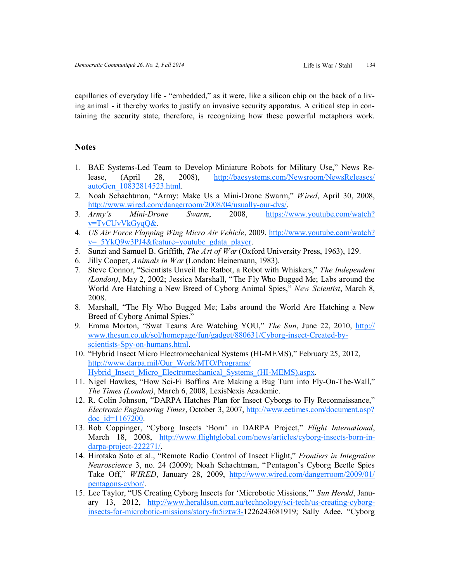capillaries of everyday life - "embedded," as it were, like a silicon chip on the back of a living animal - it thereby works to justify an invasive security apparatus. A critical step in containing the security state, therefore, is recognizing how these powerful metaphors work.

# **Notes**

- 1. BAE Systems-Led Team to Develop Miniature Robots for Military Use," News Release, (April 28, 2008), [http://baesystems.com/Newsroom/NewsReleases/](http://baesystems.com/Newsroom/NewsReleases/autoGen_10832814523.html) [autoGen\\_10832814523.html.](http://baesystems.com/Newsroom/NewsReleases/autoGen_10832814523.html)
- 2. Noah Schachtman, "Army: Make Us a Mini-Drone Swarm," *Wired*, April 30, 2008, [http://www.wired.com/dangerroom/2008/04/usually](http://www.wired.com/dangerroom/2008/04/usually-our-dys/)-our-dys/.
- 3. *Army's Mini-Drone Swarm*, 2008, [https://www.youtube.com/watch?](https://www.youtube.com/watch?v=TvCUvVkGyqQ&) [v=TvCUvVkGyqQ&.](https://www.youtube.com/watch?v=TvCUvVkGyqQ&)
- 4. *US Air Force Flapping Wing Micro Air Vehicle*, 2009, [http://www.youtube.com/watch?](http://www.youtube.com/watch?v=_5YkQ9w3PJ4&feature=youtube_gdata_player) [v=\\_5YkQ9w3PJ4&feature=youtube\\_gdata\\_player.](http://www.youtube.com/watch?v=_5YkQ9w3PJ4&feature=youtube_gdata_player)
- 5. Sunzi and Samuel B. Griffith, *The Art of War*(Oxford University Press, 1963), 129.
- 6. Jilly Cooper, *Animals in War* (London: Heinemann, 1983).
- 7. Steve Connor, "Scientists Unveil the Ratbot, a Robot with Whiskers," *The Independent (London)*, May 2, 2002; Jessica Marshall, "The Fly Who Bugged Me; Labs around the World Are Hatching a New Breed of Cyborg Animal Spies," *New Scientist*, March 8, 2008.
- 8. Marshall, "The Fly Who Bugged Me; Labs around the World Are Hatching a New Breed of Cyborg Animal Spies."
- 9. Emma Morton, "Swat Teams Are Watching YOU," *The Sun*, June 22, 2010, [http://](http://www.thesun.co.uk/sol/homepage/fun/gadget/880631/Cyborg-insect-Created-by-scientists-Spy-on-humans.html) [www.thesun.co.uk/sol/homepage/fun/gadget/880631/Cyborg](http://www.thesun.co.uk/sol/homepage/fun/gadget/880631/Cyborg-insect-Created-by-scientists-Spy-on-humans.html)-insect-Created-byscientists-Spy-on-[humans.html.](http://www.thesun.co.uk/sol/homepage/fun/gadget/880631/Cyborg-insect-Created-by-scientists-Spy-on-humans.html)
- 10. "Hybrid Insect Micro Electromechanical Systems (HI-MEMS)," February 25, 2012, [http://www.darpa.mil/Our\\_Work/MTO/Programs/](http://www.darpa.mil/Our_Work/MTO/Programs/Hybrid_Insect_Micro_Electromechanical_Systems_(HI-MEMS).aspx) Hybrid Insect Micro Electromechanical Systems (HI-MEMS).aspx.
- 11. Nigel Hawkes, "How Sci-Fi Boffins Are Making a Bug Turn into Fly-On-The-Wall," *The Times (London)*, March 6, 2008, LexisNexis Academic.
- 12. R. Colin Johnson, "DARPA Hatches Plan for Insect Cyborgs to Fly Reconnaissance," *Electronic Engineering Times*, October 3, 2007, [http://www.eetimes.com/document.asp?](http://www.eetimes.com/document.asp?doc_id=1167200) [doc\\_id=1167200.](http://www.eetimes.com/document.asp?doc_id=1167200)
- 13. Rob Coppinger, "Cyborg Insects 'Born' in DARPA Project," *Flight International*, March 18, 2008, [http://www.flightglobal.com/news/articles/cyborg](http://www.flightglobal.com/news/articles/cyborg-insects-born-in-darpa-project-222271/)-insects-born-indarpa-project-[222271/.](http://www.flightglobal.com/news/articles/cyborg-insects-born-in-darpa-project-222271/)
- 14. Hirotaka Sato et al., "Remote Radio Control of Insect Flight," *Frontiers in Integrative Neuroscience* 3, no. 24 (2009); Noah Schachtman, "Pentagon's Cyborg Beetle Spies Take Off," *WIRED*, January 28, 2009, [http://www.wired.com/dangerroom/2009/01/](http://www.wired.com/dangerroom/2009/01/pentagons-cybor/) [pentagons](http://www.wired.com/dangerroom/2009/01/pentagons-cybor/)-cybor/.
- 15. Lee Taylor, "US Creating Cyborg Insects for 'Microbotic Missions,'" *Sun Herald*, January 13, 2012, [http://www.heraldsun.com.au/technology/sci](http://www.heraldsun.com.au/technology/sci-tech/us-creating-cyborg-insects-for-microbotic-missions/story-fn5iztw3-)-tech/us-creating-cyborginsects-for-microbotic-[missions/story](http://www.heraldsun.com.au/technology/sci-tech/us-creating-cyborg-insects-for-microbotic-missions/story-fn5iztw3-)-fn5iztw3-1226243681919; Sally Adee, "Cyborg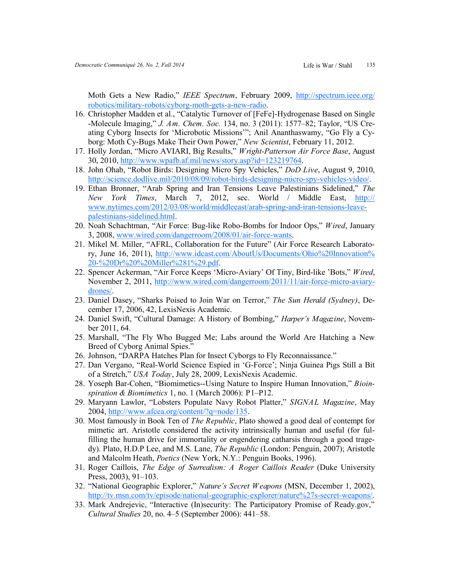Moth Gets a New Radio," *IEEE Spectrum*, February 2009, [http://spectrum.ieee.org/](http://spectrum.ieee.org/robotics/military-robots/cyborg-moth-gets-a-new-radio) [robotics/military](http://spectrum.ieee.org/robotics/military-robots/cyborg-moth-gets-a-new-radio)-robots/cyborg-moth-gets-a-new-radio.

- 16. Christopher Madden et al., "Catalytic Turnover of [FeFe]-Hydrogenase Based on Single -Molecule Imaging," *J. Am. Chem. Soc.* 134, no. 3 (2011): 1577–82; Taylor, "US Creating Cyborg Insects for 'Microbotic Missions'"; Anil Ananthaswamy, "Go Fly a Cyborg: Moth Cy-Bugs Make Their Own Power," *New Scientist*, February 11, 2012.
- 17. Holly Jordan, "Micro AVIARI, Big Results," *Wright-Patterson Air Force Base*, August 30, 2010, [http://www.wpafb.af.mil/news/story.asp?id=123219764.](http://www.wpafb.af.mil/news/story.asp?id=123219764)
- 18. John Ohab, "Robot Birds: Designing Micro Spy Vehicles," *DoD Live*, August 9, 2010, [http://science.dodlive.mil/2010/08/09/robot](http://science.dodlive.mil/2010/08/09/robot-birds-designing-micro-spy-vehicles-video/)-birds-designing-micro-spy-vehicles-video/.
- 19. Ethan Bronner, "Arab Spring and Iran Tensions Leave Palestinians Sidelined," *The New York Times*, March 7, 2012, sec. World / Middle East, [http://](http://www.nytimes.com/2012/03/08/world/middleeast/arab-spring-and-iran-tensions-leave-palestinians-sidelined.html) [www.nytimes.com/2012/03/08/world/middleeast/arab](http://www.nytimes.com/2012/03/08/world/middleeast/arab-spring-and-iran-tensions-leave-palestinians-sidelined.html)-spring-and-iran-tensions-leavepalestinians-[sidelined.html.](http://www.nytimes.com/2012/03/08/world/middleeast/arab-spring-and-iran-tensions-leave-palestinians-sidelined.html)
- 20. Noah Schachtman, "Air Force: Bug-like Robo-Bombs for Indoor Ops," *Wired*, January 3, 2008, [www.wired.com/dangerroom/2008/01/air](http://www.wired.com/dangerroom/2008/01/air-force-wants)-force-wants.
- 21. Mikel M. Miller, "AFRL, Collaboration for the Future" (Air Force Research Laboratory, June 16, 2011), [http://www.idcast.com/AboutUs/Documents/Ohio%20Innovation%](http://www.idcast.com/AboutUs/Documents/Ohio%20Innovation%20-%20Dr%20%20Miller%281%29.pdf) 20-[%20Dr%20%20Miller%281%29.pdf.](http://www.idcast.com/AboutUs/Documents/Ohio%20Innovation%20-%20Dr%20%20Miller%281%29.pdf)
- 22. Spencer Ackerman, "Air Force Keeps 'Micro-Aviary' Of Tiny, Bird-like 'Bots," *Wired*, November 2, 2011, [http://www.wired.com/dangerroom/2011/11/air](http://www.wired.com/dangerroom/2011/11/air-force-micro-aviary-drones/)-force-micro-aviary[drones/.](http://www.wired.com/dangerroom/2011/11/air-force-micro-aviary-drones/)
- 23. Daniel Dasey, "Sharks Poised to Join War on Terror," *The Sun Herald (Sydney)*, December 17, 2006, 42, LexisNexis Academic.
- 24. Daniel Swift, "Cultural Damage: A History of Bombing," *Harper's Magazine*, November 2011, 64.
- 25. Marshall, "The Fly Who Bugged Me; Labs around the World Are Hatching a New Breed of Cyborg Animal Spies."
- 26. Johnson, "DARPA Hatches Plan for Insect Cyborgs to Fly Reconnaissance."
- 27. Dan Vergano, "Real-World Science Espied in 'G-Force'; Ninja Guinea Pigs Still a Bit of a Stretch," *USA Today*, July 28, 2009, LexisNexis Academic.
- 28. Yoseph Bar-Cohen, "Biomimetics--Using Nature to Inspire Human Innovation," *Bioinspiration & Biomimetics* 1, no. 1 (March 2006): P1–P12.
- 29. Maryann Lawlor, "Lobsters Populate Navy Robot Platter," *SIGNAL Magazine*, May 2004, [http://www.afcea.org/content/?q=node/135.](http://www.afcea.org/content/?q=node/135)
- 30. Most famously in Book Ten of *The Republic*, Plato showed a good deal of contempt for mimetic art. Aristotle considered the activity intrinsically human and useful (for fulfilling the human drive for immortality or engendering catharsis through a good tragedy). Plato, H.D.P Lee, and M.S. Lane, *The Republic* (London: Penguin, 2007); Aristotle and Malcolm Heath, *Poetics* (New York, N.Y.: Penguin Books, 1996).
- 31. Roger Caillois, *The Edge of Surrealism: A Roger Caillois Reader* (Duke University Press, 2003), 91–103.
- 32. "National Geographic Explorer," *Nature's Secret Weapons* (MSN, December 1, 2002), [http://tv.msn.com/tv/episode/national](http://tv.msn.com/tv/episode/national-geographic-explorer/nature%27s-secret-weapons/)-geographic-explorer/nature%27s-secret-weapons/.
- 33. Mark Andrejevic, "Interactive (In)security: The Participatory Promise of Ready.gov," *Cultural Studies* 20, no. 4–5 (September 2006): 441–58.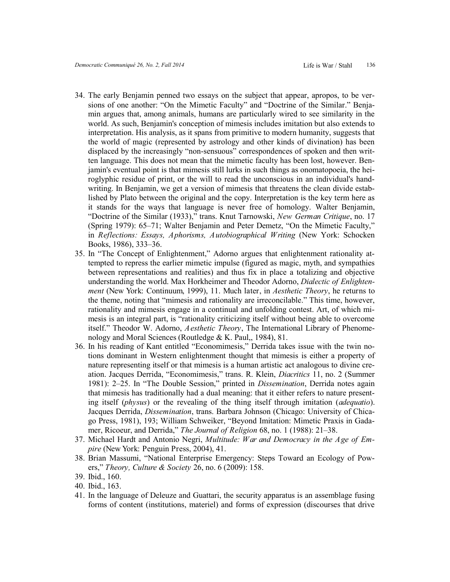- 34. The early Benjamin penned two essays on the subject that appear, apropos, to be versions of one another: "On the Mimetic Faculty" and "Doctrine of the Similar." Benjamin argues that, among animals, humans are particularly wired to see similarity in the world. As such, Benjamin's conception of mimesis includes imitation but also extends to interpretation. His analysis, as it spans from primitive to modern humanity, suggests that the world of magic (represented by astrology and other kinds of divination) has been displaced by the increasingly "non-sensuous" correspondences of spoken and then written language. This does not mean that the mimetic faculty has been lost, however. Benjamin's eventual point is that mimesis still lurks in such things as onomatopoeia, the heiroglyphic residue of print, or the will to read the unconscious in an individual's handwriting. In Benjamin, we get a version of mimesis that threatens the clean divide established by Plato between the original and the copy. Interpretation is the key term here as it stands for the ways that language is never free of homology. Walter Benjamin, "Doctrine of the Similar (1933)," trans. Knut Tarnowski, *New German Critique*, no. 17 (Spring 1979): 65–71; Walter Benjamin and Peter Demetz, "On the Mimetic Faculty," in *Reflections: Essays, Aphorisms, Autobiographical Writing* (New York: Schocken Books, 1986), 333–36.
- 35. In "The Concept of Enlightenment," Adorno argues that enlightenment rationality attempted to repress the earlier mimetic impulse (figured as magic, myth, and sympathies between representations and realities) and thus fix in place a totalizing and objective understanding the world. Max Horkheimer and Theodor Adorno, *Dialectic of Enlightenment* (New York: Continuum, 1999), 11. Much later, in *Aesthetic Theory*, he returns to the theme, noting that "mimesis and rationality are irreconcilable." This time, however, rationality and mimesis engage in a continual and unfolding contest. Art, of which mimesis is an integral part, is "rationality criticizing itself without being able to overcome itself." Theodor W. Adorno, *Aesthetic Theory*, The International Library of Phenomenology and Moral Sciences (Routledge & K. Paul,, 1984), 81.
- 36. In his reading of Kant entitled "Economimesis," Derrida takes issue with the twin notions dominant in Western enlightenment thought that mimesis is either a property of nature representing itself or that mimesis is a human artistic act analogous to divine creation. Jacques Derrida, "Economimesis," trans. R. Klein, *Diacritics* 11, no. 2 (Summer 1981): 2–25. In "The Double Session," printed in *Dissemination*, Derrida notes again that mimesis has traditionally had a dual meaning: that it either refers to nature presenting itself (*physus*) or the revealing of the thing itself through imitation (*adequatio*). Jacques Derrida, *Dissemination*, trans. Barbara Johnson (Chicago: University of Chicago Press, 1981), 193; William Schweiker, "Beyond Imitation: Mimetic Praxis in Gadamer, Ricoeur, and Derrida," *The Journal of Religion* 68, no. 1 (1988): 21–38.
- 37. Michael Hardt and Antonio Negri, *Multitude: War and Democracy in the Age of Empire* (New York: Penguin Press, 2004), 41.
- 38. Brian Massumi, "National Enterprise Emergency: Steps Toward an Ecology of Powers," *Theory, Culture & Society* 26, no. 6 (2009): 158.

- 40. Ibid., 163.
- 41. In the language of Deleuze and Guattari, the security apparatus is an assemblage fusing forms of content (institutions, materiel) and forms of expression (discourses that drive

<sup>39.</sup> Ibid., 160.